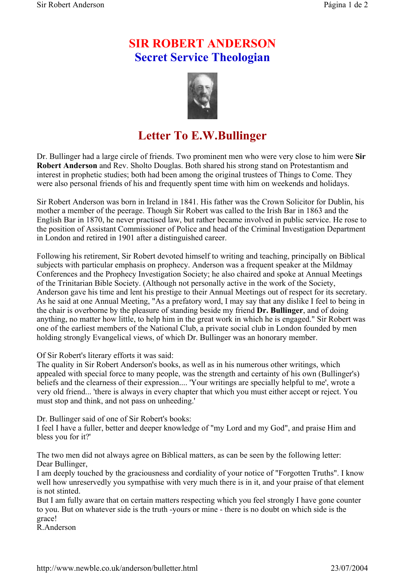## **SIR ROBERT ANDERSON Secret Service Theologian**



## **Letter To E.W.Bullinger**

Dr. Bullinger had a large circle of friends. Two prominent men who were very close to him were **Sir Robert Anderson** and Rev. Sholto Douglas. Both shared his strong stand on Protestantism and interest in prophetic studies; both had been among the original trustees of Things to Come. They were also personal friends of his and frequently spent time with him on weekends and holidays.

Sir Robert Anderson was born in Ireland in 1841. His father was the Crown Solicitor for Dublin, his mother a member of the peerage. Though Sir Robert was called to the Irish Bar in 1863 and the English Bar in 1870, he never practised law, but rather became involved in public service. He rose to the position of Assistant Commissioner of Police and head of the Criminal Investigation Department in London and retired in 1901 after a distinguished career.

Following his retirement, Sir Robert devoted himself to writing and teaching, principally on Biblical subjects with particular emphasis on prophecy. Anderson was a frequent speaker at the Mildmay Conferences and the Prophecy Investigation Society; he also chaired and spoke at Annual Meetings of the Trinitarian Bible Society. (Although not personally active in the work of the Society, Anderson gave his time and lent his prestige to their Annual Meetings out of respect for its secretary. As he said at one Annual Meeting, "As a prefatory word, I may say that any dislike I feel to being in the chair is overborne by the pleasure of standing beside my friend **Dr. Bullinger**, and of doing anything, no matter how little, to help him in the great work in which he is engaged." Sir Robert was one of the earliest members of the National Club, a private social club in London founded by men holding strongly Evangelical views, of which Dr. Bullinger was an honorary member.

Of Sir Robert's literary efforts it was said:

The quality in Sir Robert Anderson's books, as well as in his numerous other writings, which appealed with special force to many people, was the strength and certainty of his own (Bullinger's) beliefs and the clearness of their expression.... 'Your writings are specially helpful to me', wrote a very old friend... 'there is always in every chapter that which you must either accept or reject. You must stop and think, and not pass on unheeding.'

Dr. Bullinger said of one of Sir Robert's books:

I feel I have a fuller, better and deeper knowledge of "my Lord and my God", and praise Him and bless you for it?'

The two men did not always agree on Biblical matters, as can be seen by the following letter: Dear Bullinger,

I am deeply touched by the graciousness and cordiality of your notice of "Forgotten Truths". I know well how unreservedly you sympathise with very much there is in it, and your praise of that element is not stinted.

But I am fully aware that on certain matters respecting which you feel strongly I have gone counter to you. But on whatever side is the truth -yours or mine - there is no doubt on which side is the grace!

R.Anderson